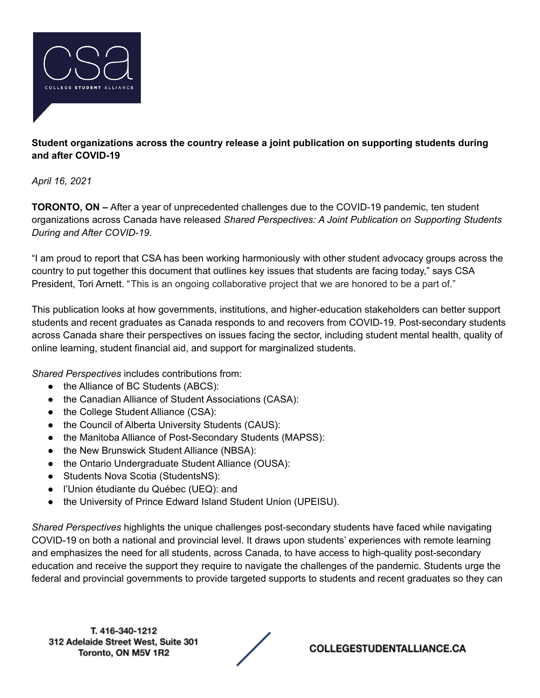

## **Student organizations across the country release a joint publication on supporting students during and after COVID-19**

*April 16, 2021*

**TORONTO, ON –** After a year of unprecedented challenges due to the COVID-19 pandemic, ten student organizations across Canada have released *Shared Perspectives: A Joint Publication on Supporting Students During and After COVID-19.*

"I am proud to report that CSA has been working harmoniously with other student advocacy groups across the country to put together this document that outlines key issues that students are facing today," says CSA President, Tori Arnett. "This is an ongoing collaborative project that we are honored to be a part of."

This publication looks at how governments, institutions, and higher-education stakeholders can better support students and recent graduates as Canada responds to and recovers from COVID-19. Post-secondary students across Canada share their perspectives on issues facing the sector, including student mental health, quality of online learning, student financial aid, and support for marginalized students.

*Shared Perspectives* includes contributions from:

- the Alliance of BC Students (ABCS):
- the Canadian Alliance of Student Associations (CASA):
- the College Student Alliance (CSA):
- the Council of Alberta University Students (CAUS):
- the Manitoba Alliance of Post-Secondary Students (MAPSS):
- the New Brunswick Student Alliance (NBSA):
- the Ontario Undergraduate Student Alliance (OUSA):
- Students Nova Scotia (StudentsNS):
- l'Union étudiante du Québec (UEQ): and
- the University of Prince Edward Island Student Union (UPEISU).

*Shared Perspectives* highlights the unique challenges post-secondary students have faced while navigating COVID-19 on both a national and provincial level. It draws upon students' experiences with remote learning and emphasizes the need for all students, across Canada, to have access to high-quality post-secondary education and receive the support they require to navigate the challenges of the pandemic. Students urge the federal and provincial governments to provide targeted supports to students and recent graduates so they can

T. 416-340-1212 312 Adelaide Street West, Suite 301 Toronto, ON M5V 1R2



COLLEGESTUDENTALLIANCE.CA